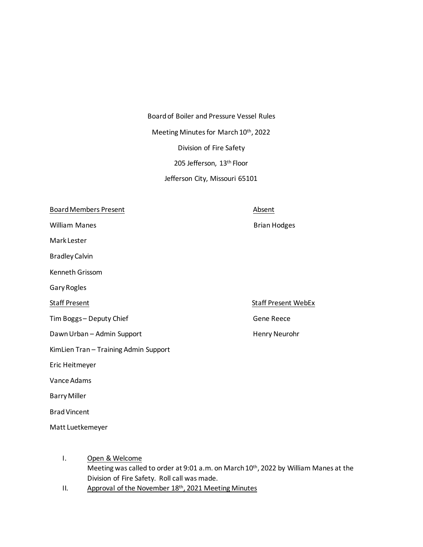Board of Boiler and Pressure Vessel Rules Meeting Minutes for March 10<sup>th</sup>, 2022 Division of Fire Safety 205 Jefferson, 13th Floor Jefferson City, Missouri 65101

Board Members Present Absent

William Manes **Brian Hotal** Brian Hodges

Mark Lester

Bradley Calvin

Kenneth Grissom

Gary Rogles

Tim Boggs – Deputy Chief Gene Reece

Dawn Urban – Admin Support Henry Neurohr

KimLien Tran – Training Admin Support

Eric Heitmeyer

Vance Adams

Barry Miller

Brad Vincent

Matt Luetkemeyer

- I. Open & Welcome Meeting was called to order at 9:01 a.m. on March 10<sup>th</sup>, 2022 by William Manes at the Division of Fire Safety. Roll call was made.
- II. Approval of the November 18th, 2021 Meeting Minutes

Staff Present NebEx